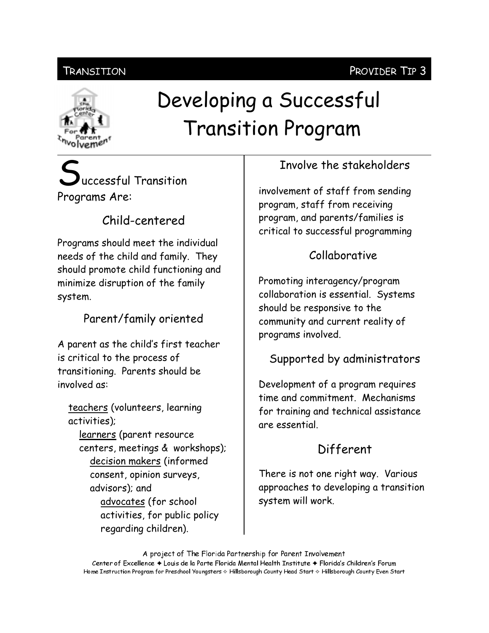#### Transition

# olvemen

## Developing a Successful **Transition Program**

### uccessful Transition Programs Are:

#### Child-centered

Programs should meet the individual needs of the child and family. They should promote child functioning and minimize disruption of the family system.

#### Parent/family oriented

A parent as the child's first teacher is critical to the process of transitioning. Parents should be involved as:

teachers (volunteers, learning activities); learners (parent resource centers, meetings & workshops); decision makers (informed consent, opinion surveys, advisors); and advocates (for school activities, for public policy regarding children).

#### Involve the stakeholders

involvement of staff from sending program, staff from receiving program, and parents/families is critical to successful programming

#### Collaborative

Promoting interagency/program collaboration is essential. Systems should be responsive to the community and current reality of programs involved.

#### Supported by administrators

Development of a program requires time and commitment. Mechanisms for training and technical assistance are essential.

#### Different

There is not one right way. Various approaches to developing a transition system will work.

A project of The Florida Partnership for Parent Involvement Center of Excellence ♦ Louis de la Parte Florida Mental Health Institute ♦ Florida's Children's Forum Home Instruction Program for Preschool Youngsters & Hillsborough County Head Start & Hillsborough County Even Start

#### PROVIDER TIP 3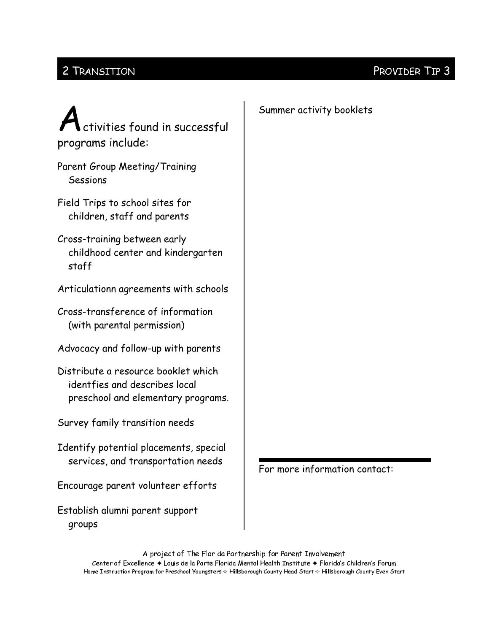#### 2 TRANSITION

#### PROVIDER TIP 3

| ctivities found in successful<br>programs include:                                                         | Summer activity booklets      |
|------------------------------------------------------------------------------------------------------------|-------------------------------|
| <b>Parent Group Meeting/Training</b><br>Sessions                                                           |                               |
| Field Trips to school sites for<br>children, staff and parents                                             |                               |
| Cross-training between early<br>childhood center and kindergarten<br>staff                                 |                               |
| Articulationn agreements with schools                                                                      |                               |
| Cross-transference of information<br>(with parental permission)                                            |                               |
| Advocacy and follow-up with parents                                                                        |                               |
| Distribute a resource booklet which<br>identfies and describes local<br>preschool and elementary programs. |                               |
| Survey family transition needs                                                                             |                               |
| Identify potential placements, special<br>services, and transportation needs                               | For more information contact: |
| Encourage parent volunteer efforts                                                                         |                               |
| Establish alumni parent support<br>groups                                                                  |                               |

A project of The Florida Partnership for Parent Involvement Center of Excellence + Louis de la Parte Florida Mental Health Institute + Florida's Children's Forum Home Instruction Program for Preschool Youngsters & Hillsborough County Head Start & Hillsborough County Even Start